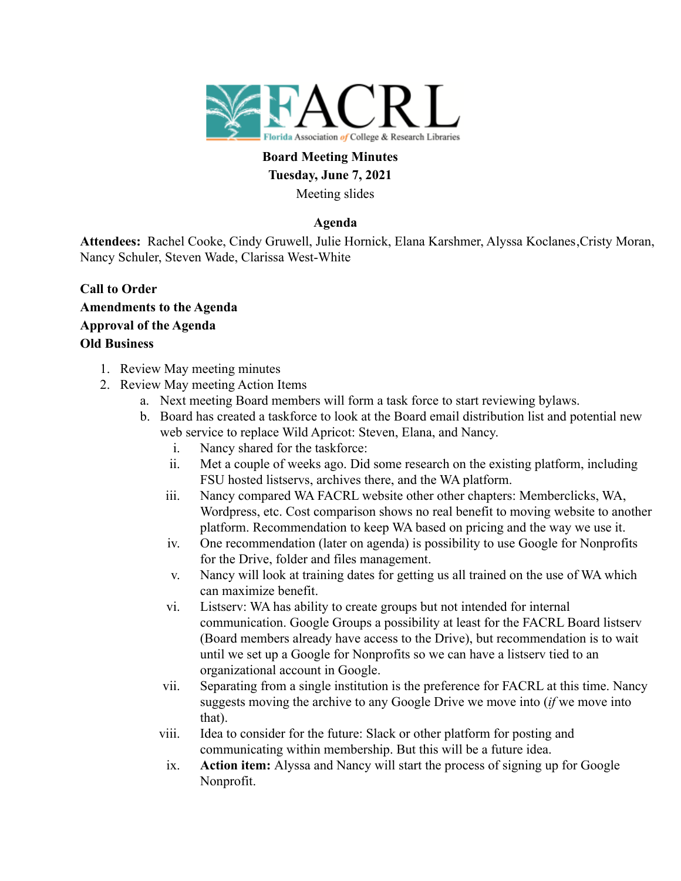

# **Board Meeting Minutes Tuesday, June 7, 2021** Meeting slides

## **Agenda**

**Attendees:** Rachel Cooke, Cindy Gruwell, Julie Hornick, Elana Karshmer, Alyssa Koclanes,Cristy Moran, Nancy Schuler, Steven Wade, Clarissa West-White

- **Call to Order Amendments to the Agenda Approval of the Agenda Old Business**
	- 1. Review May meeting minutes
	- 2. Review May meeting Action Items
		- a. Next meeting Board members will form a task force to start reviewing bylaws.
		- b. Board has created a taskforce to look at the Board email distribution list and potential new web service to replace Wild Apricot: Steven, Elana, and Nancy.
			- i. Nancy shared for the taskforce:
			- ii. Met a couple of weeks ago. Did some research on the existing platform, including FSU hosted listservs, archives there, and the WA platform.
			- iii. Nancy compared WA FACRL website other other chapters: Memberclicks, WA, Wordpress, etc. Cost comparison shows no real benefit to moving website to another platform. Recommendation to keep WA based on pricing and the way we use it.
			- iv. One recommendation (later on agenda) is possibility to use Google for Nonprofits for the Drive, folder and files management.
			- v. Nancy will look at training dates for getting us all trained on the use of WA which can maximize benefit.
			- vi. Listserv: WA has ability to create groups but not intended for internal communication. Google Groups a possibility at least for the FACRL Board listserv (Board members already have access to the Drive), but recommendation is to wait until we set up a Google for Nonprofits so we can have a listserv tied to an organizational account in Google.
			- vii. Separating from a single institution is the preference for FACRL at this time. Nancy suggests moving the archive to any Google Drive we move into (*if* we move into that).
			- viii. Idea to consider for the future: Slack or other platform for posting and communicating within membership. But this will be a future idea.
			- ix. **Action item:** Alyssa and Nancy will start the process of signing up for Google Nonprofit.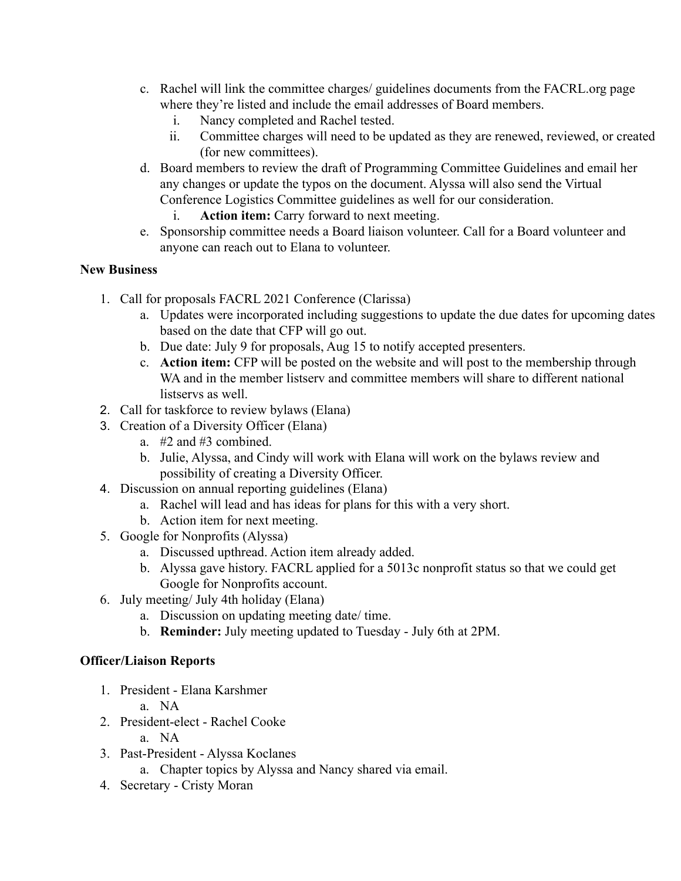- c. Rachel will link the committee charges/ guidelines documents from the FACRL.org page where they're listed and include the email addresses of Board members.
	- i. Nancy completed and Rachel tested.
	- ii. Committee charges will need to be updated as they are renewed, reviewed, or created (for new committees).
- d. Board members to review the draft of Programming Committee Guidelines and email her any changes or update the typos on the document. Alyssa will also send the Virtual Conference Logistics Committee guidelines as well for our consideration.
	- i. **Action item:** Carry forward to next meeting.
- e. Sponsorship committee needs a Board liaison volunteer. Call for a Board volunteer and anyone can reach out to Elana to volunteer.

### **New Business**

- 1. Call for proposals FACRL 2021 Conference (Clarissa)
	- a. Updates were incorporated including suggestions to update the due dates for upcoming dates based on the date that CFP will go out.
	- b. Due date: July 9 for proposals, Aug 15 to notify accepted presenters.
	- c. **Action item:** CFP will be posted on the website and will post to the membership through WA and in the member listserv and committee members will share to different national listservs as well.
- 2. Call for taskforce to review bylaws (Elana)
- 3. Creation of a Diversity Officer (Elana)
	- a. #2 and #3 combined.
	- b. Julie, Alyssa, and Cindy will work with Elana will work on the bylaws review and possibility of creating a Diversity Officer.
- 4. Discussion on annual reporting guidelines (Elana)
	- a. Rachel will lead and has ideas for plans for this with a very short.
	- b. Action item for next meeting.
- 5. Google for Nonprofits (Alyssa)
	- a. Discussed upthread. Action item already added.
	- b. Alyssa gave history. FACRL applied for a 5013c nonprofit status so that we could get Google for Nonprofits account.
- 6. July meeting/ July 4th holiday (Elana)
	- a. Discussion on updating meeting date/ time.
	- b. **Reminder:** July meeting updated to Tuesday July 6th at 2PM.

# **Officer/Liaison Reports**

- 1. President Elana Karshmer
	- a. NA
- 2. President-elect Rachel Cooke
	- a. NA
- 3. Past-President Alyssa Koclanes
	- a. Chapter topics by Alyssa and Nancy shared via email.
- 4. Secretary Cristy Moran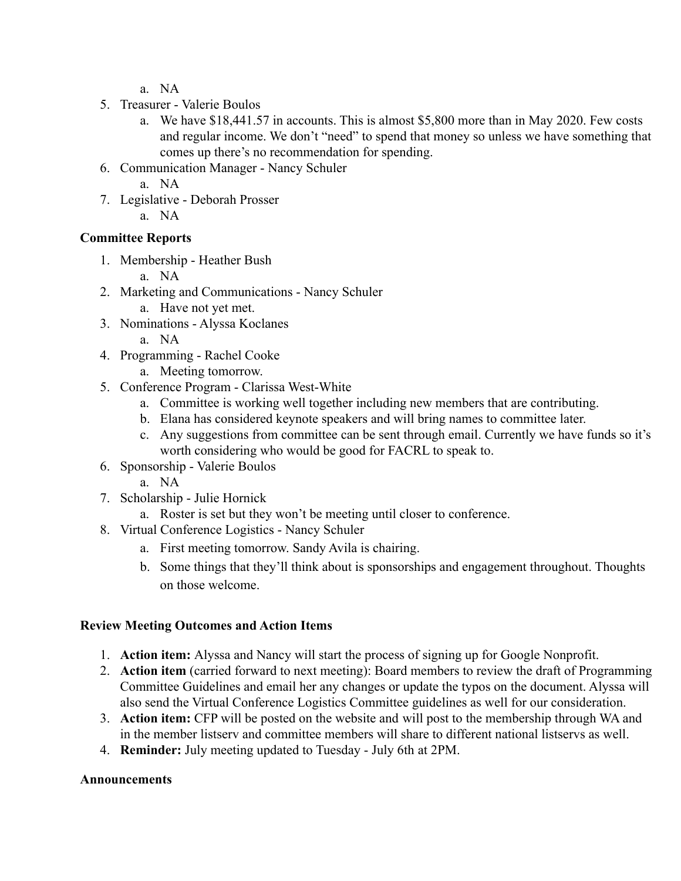- a. NA
- 5. Treasurer Valerie Boulos
	- a. We have \$18,441.57 in accounts. This is almost \$5,800 more than in May 2020. Few costs and regular income. We don't "need" to spend that money so unless we have something that comes up there's no recommendation for spending.
- 6. Communication Manager Nancy Schuler
	- a. NA
- 7. Legislative Deborah Prosser
	- a. NA

### **Committee Reports**

- 1. Membership Heather Bush
	- a. NA
- 2. Marketing and Communications Nancy Schuler
	- a. Have not yet met.
- 3. Nominations Alyssa Koclanes
	- a. NA
- 4. Programming Rachel Cooke
	- a. Meeting tomorrow.
- 5. Conference Program Clarissa West-White
	- a. Committee is working well together including new members that are contributing.
	- b. Elana has considered keynote speakers and will bring names to committee later.
	- c. Any suggestions from committee can be sent through email. Currently we have funds so it's worth considering who would be good for FACRL to speak to.
- 6. Sponsorship Valerie Boulos
	- a. NA
- 7. Scholarship Julie Hornick
	- a. Roster is set but they won't be meeting until closer to conference.
- 8. Virtual Conference Logistics Nancy Schuler
	- a. First meeting tomorrow. Sandy Avila is chairing.
	- b. Some things that they'll think about is sponsorships and engagement throughout. Thoughts on those welcome.

## **Review Meeting Outcomes and Action Items**

- 1. **Action item:** Alyssa and Nancy will start the process of signing up for Google Nonprofit.
- 2. **Action item** (carried forward to next meeting): Board members to review the draft of Programming Committee Guidelines and email her any changes or update the typos on the document. Alyssa will also send the Virtual Conference Logistics Committee guidelines as well for our consideration.
- 3. **Action item:** CFP will be posted on the website and will post to the membership through WA and in the member listserv and committee members will share to different national listservs as well.
- 4. **Reminder:** July meeting updated to Tuesday July 6th at 2PM.

#### **Announcements**